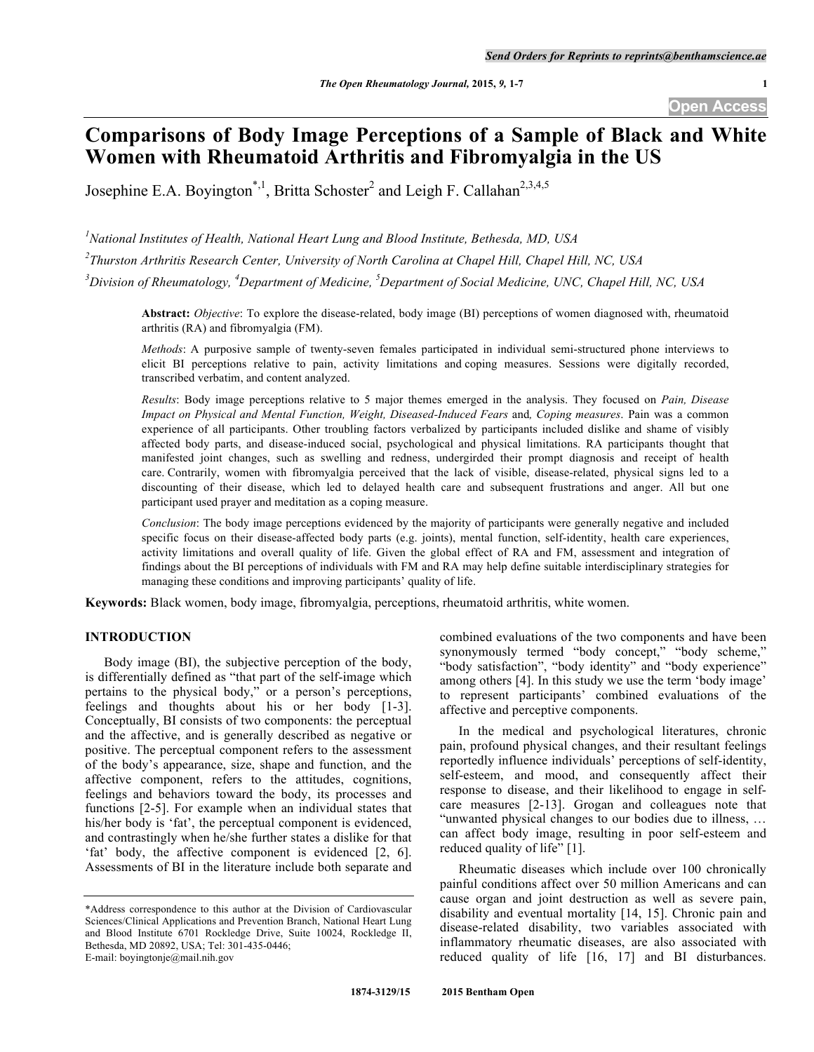# **Comparisons of Body Image Perceptions of a Sample of Black and White Women with Rheumatoid Arthritis and Fibromyalgia in the US**

Josephine E.A. Boyington<sup>\*,1</sup>, Britta Schoster<sup>2</sup> and Leigh F. Callahan<sup>2,3,4,5</sup>

*1 National Institutes of Health, National Heart Lung and Blood Institute, Bethesda, MD, USA*

*2 Thurston Arthritis Research Center, University of North Carolina at Chapel Hill, Chapel Hill, NC, USA*

*3 Division of Rheumatology, <sup>4</sup> Department of Medicine, <sup>5</sup> Department of Social Medicine, UNC, Chapel Hill, NC, USA*

**Abstract:** *Objective*: To explore the disease-related, body image (BI) perceptions of women diagnosed with, rheumatoid arthritis (RA) and fibromyalgia (FM).

*Methods*: A purposive sample of twenty-seven females participated in individual semi-structured phone interviews to elicit BI perceptions relative to pain, activity limitations and coping measures. Sessions were digitally recorded, transcribed verbatim, and content analyzed.

*Results*: Body image perceptions relative to 5 major themes emerged in the analysis. They focused on *Pain, Disease Impact on Physical and Mental Function, Weight, Diseased-Induced Fears* and*, Coping measures*. Pain was a common experience of all participants. Other troubling factors verbalized by participants included dislike and shame of visibly affected body parts, and disease-induced social, psychological and physical limitations. RA participants thought that manifested joint changes, such as swelling and redness, undergirded their prompt diagnosis and receipt of health care. Contrarily, women with fibromyalgia perceived that the lack of visible, disease-related, physical signs led to a discounting of their disease, which led to delayed health care and subsequent frustrations and anger. All but one participant used prayer and meditation as a coping measure.

*Conclusion*: The body image perceptions evidenced by the majority of participants were generally negative and included specific focus on their disease-affected body parts (e.g. joints), mental function, self-identity, health care experiences, activity limitations and overall quality of life. Given the global effect of RA and FM, assessment and integration of findings about the BI perceptions of individuals with FM and RA may help define suitable interdisciplinary strategies for managing these conditions and improving participants' quality of life.

**Keywords:** Black women, body image, fibromyalgia, perceptions, rheumatoid arthritis, white women.

# **INTRODUCTION**

Body image (BI), the subjective perception of the body, is differentially defined as "that part of the self-image which pertains to the physical body," or a person's perceptions, feelings and thoughts about his or her body [1-3]. Conceptually, BI consists of two components: the perceptual and the affective, and is generally described as negative or positive. The perceptual component refers to the assessment of the body's appearance, size, shape and function, and the affective component, refers to the attitudes, cognitions, feelings and behaviors toward the body, its processes and functions [2-5]. For example when an individual states that his/her body is 'fat', the perceptual component is evidenced, and contrastingly when he/she further states a dislike for that 'fat' body, the affective component is evidenced [2, 6]. Assessments of BI in the literature include both separate and combined evaluations of the two components and have been synonymously termed "body concept," "body scheme," "body satisfaction", "body identity" and "body experience" among others [4]. In this study we use the term 'body image' to represent participants' combined evaluations of the affective and perceptive components.

In the medical and psychological literatures, chronic pain, profound physical changes, and their resultant feelings reportedly influence individuals' perceptions of self-identity, self-esteem, and mood, and consequently affect their response to disease, and their likelihood to engage in selfcare measures [2-13]. Grogan and colleagues note that "unwanted physical changes to our bodies due to illness, … can affect body image, resulting in poor self-esteem and reduced quality of life" [1].

Rheumatic diseases which include over 100 chronically painful conditions affect over 50 million Americans and can cause organ and joint destruction as well as severe pain, disability and eventual mortality [14, 15]. Chronic pain and disease-related disability, two variables associated with inflammatory rheumatic diseases, are also associated with reduced quality of life [16, 17] and BI disturbances.

<sup>\*</sup>Address correspondence to this author at the Division of Cardiovascular Sciences/Clinical Applications and Prevention Branch, National Heart Lung and Blood Institute 6701 Rockledge Drive, Suite 10024, Rockledge II, Bethesda, MD 20892, USA; Tel: 301-435-0446; E-mail: boyingtonje@mail.nih.gov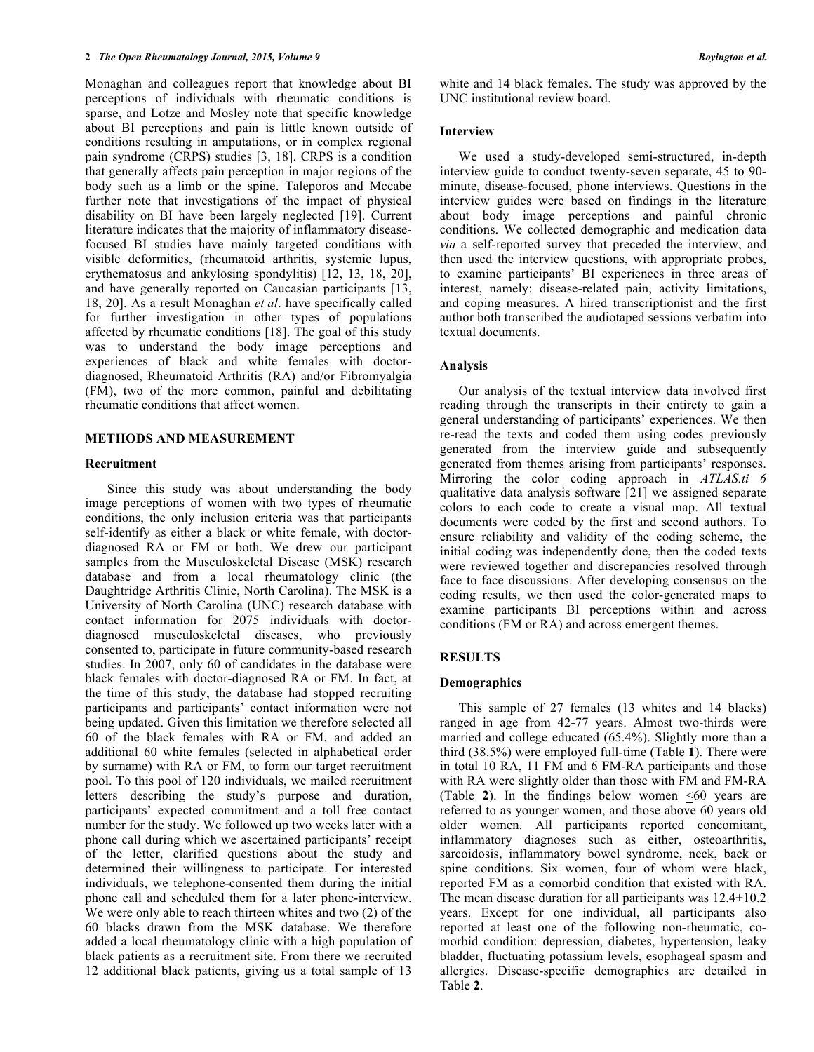Monaghan and colleagues report that knowledge about BI perceptions of individuals with rheumatic conditions is sparse, and Lotze and Mosley note that specific knowledge about BI perceptions and pain is little known outside of conditions resulting in amputations, or in complex regional pain syndrome (CRPS) studies [3, 18]. CRPS is a condition that generally affects pain perception in major regions of the body such as a limb or the spine. Taleporos and Mccabe further note that investigations of the impact of physical disability on BI have been largely neglected [19]. Current literature indicates that the majority of inflammatory diseasefocused BI studies have mainly targeted conditions with visible deformities, (rheumatoid arthritis, systemic lupus, erythematosus and ankylosing spondylitis) [12, 13, 18, 20], and have generally reported on Caucasian participants [13, 18, 20]. As a result Monaghan *et al*. have specifically called for further investigation in other types of populations affected by rheumatic conditions [18]. The goal of this study was to understand the body image perceptions and experiences of black and white females with doctordiagnosed, Rheumatoid Arthritis (RA) and/or Fibromyalgia (FM), two of the more common, painful and debilitating rheumatic conditions that affect women.

# **METHODS AND MEASUREMENT**

## **Recruitment**

Since this study was about understanding the body image perceptions of women with two types of rheumatic conditions, the only inclusion criteria was that participants self-identify as either a black or white female, with doctordiagnosed RA or FM or both. We drew our participant samples from the Musculoskeletal Disease (MSK) research database and from a local rheumatology clinic (the Daughtridge Arthritis Clinic, North Carolina). The MSK is a University of North Carolina (UNC) research database with contact information for 2075 individuals with doctordiagnosed musculoskeletal diseases, who previously consented to, participate in future community-based research studies. In 2007, only 60 of candidates in the database were black females with doctor-diagnosed RA or FM. In fact, at the time of this study, the database had stopped recruiting participants and participants' contact information were not being updated. Given this limitation we therefore selected all 60 of the black females with RA or FM, and added an additional 60 white females (selected in alphabetical order by surname) with RA or FM, to form our target recruitment pool. To this pool of 120 individuals, we mailed recruitment letters describing the study's purpose and duration, participants' expected commitment and a toll free contact number for the study. We followed up two weeks later with a phone call during which we ascertained participants' receipt of the letter, clarified questions about the study and determined their willingness to participate. For interested individuals, we telephone-consented them during the initial phone call and scheduled them for a later phone-interview. We were only able to reach thirteen whites and two (2) of the 60 blacks drawn from the MSK database. We therefore added a local rheumatology clinic with a high population of black patients as a recruitment site. From there we recruited 12 additional black patients, giving us a total sample of 13

white and 14 black females. The study was approved by the UNC institutional review board.

#### **Interview**

We used a study-developed semi-structured, in-depth interview guide to conduct twenty-seven separate, 45 to 90 minute, disease-focused, phone interviews. Questions in the interview guides were based on findings in the literature about body image perceptions and painful chronic conditions. We collected demographic and medication data *via* a self-reported survey that preceded the interview, and then used the interview questions, with appropriate probes, to examine participants' BI experiences in three areas of interest, namely: disease-related pain, activity limitations, and coping measures. A hired transcriptionist and the first author both transcribed the audiotaped sessions verbatim into textual documents.

## **Analysis**

Our analysis of the textual interview data involved first reading through the transcripts in their entirety to gain a general understanding of participants' experiences. We then re-read the texts and coded them using codes previously generated from the interview guide and subsequently generated from themes arising from participants' responses. Mirroring the color coding approach in *ATLAS.ti 6* qualitative data analysis software [21] we assigned separate colors to each code to create a visual map. All textual documents were coded by the first and second authors. To ensure reliability and validity of the coding scheme, the initial coding was independently done, then the coded texts were reviewed together and discrepancies resolved through face to face discussions. After developing consensus on the coding results, we then used the color-generated maps to examine participants BI perceptions within and across conditions (FM or RA) and across emergent themes.

# **RESULTS**

#### **Demographics**

This sample of 27 females (13 whites and 14 blacks) ranged in age from 42-77 years. Almost two-thirds were married and college educated (65.4%). Slightly more than a third (38.5%) were employed full-time (Table **1**). There were in total 10 RA, 11 FM and 6 FM-RA participants and those with RA were slightly older than those with FM and FM-RA (Table  $2$ ). In the findings below women  $\leq 60$  years are referred to as younger women, and those above 60 years old older women. All participants reported concomitant, inflammatory diagnoses such as either, osteoarthritis, sarcoidosis, inflammatory bowel syndrome, neck, back or spine conditions. Six women, four of whom were black, reported FM as a comorbid condition that existed with RA. The mean disease duration for all participants was  $12.4 \pm 10.2$ years. Except for one individual, all participants also reported at least one of the following non-rheumatic, comorbid condition: depression, diabetes, hypertension, leaky bladder, fluctuating potassium levels, esophageal spasm and allergies. Disease-specific demographics are detailed in Table **2**.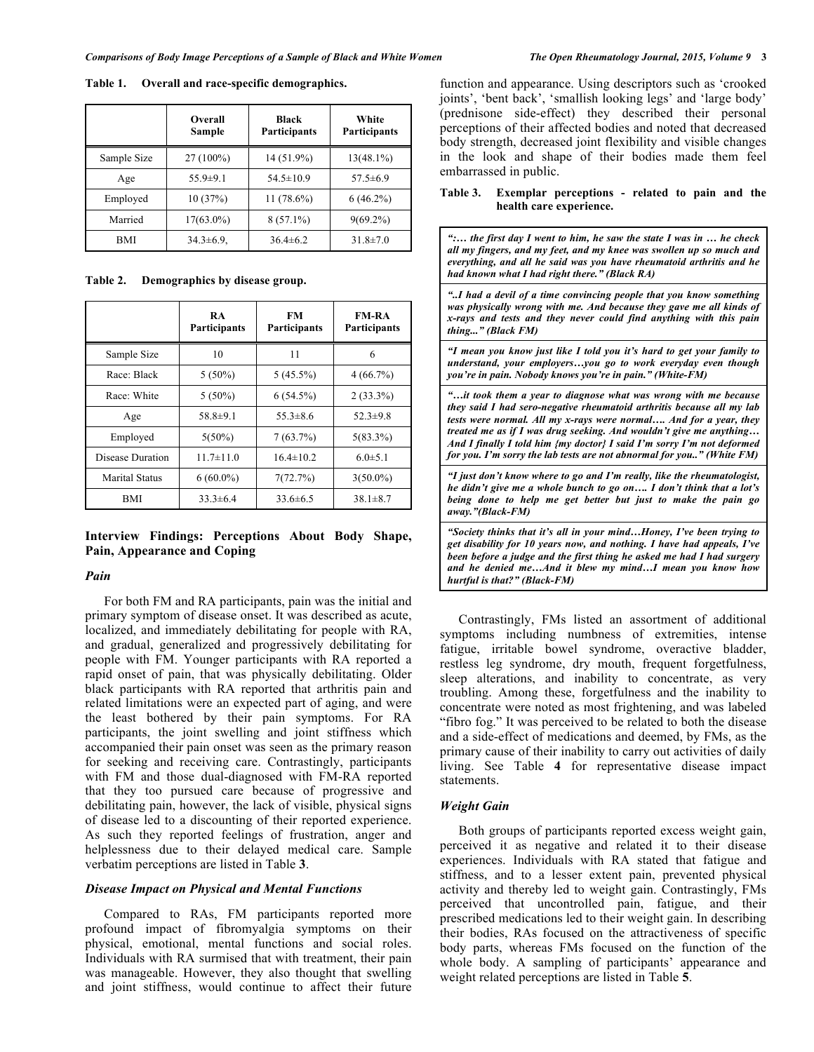**Table 1. Overall and race-specific demographics.**

|             | Overall<br>Sample | Black<br>Participants | White<br><b>Participants</b> |
|-------------|-------------------|-----------------------|------------------------------|
| Sample Size | $27(100\%)$       | 14 (51.9%)            | $13(48.1\%)$                 |
| Age         | $55.9 \pm 9.1$    | $54.5 \pm 10.9$       | $57.5 \pm 6.9$               |
| Employed    | 10(37%)           | $11(78.6\%)$          | $6(46.2\%)$                  |
| Married     | $17(63.0\%)$      | $8(57.1\%)$           | $9(69.2\%)$                  |
| BMI         | $34.3 \pm 6.9$ ,  | $36.4\pm 6.2$         | $31.8 \pm 7.0$               |

**Table 2. Demographics by disease group.**

|                       | RA<br><b>Participants</b> | FM<br><b>Participants</b> | <b>FM-RA</b><br>Participants |
|-----------------------|---------------------------|---------------------------|------------------------------|
| Sample Size           | 10                        | 11                        | 6                            |
| Race: Black           | $5(50\%)$                 | $5(45.5\%)$               | 4(66.7%)                     |
| Race: White           | $5(50\%)$                 | $6(54.5\%)$               | $2(33.3\%)$                  |
| Age                   | 58.8±9.1                  | $55.3\pm8.6$              | $52.3 \pm 9.8$               |
| Employed              | $5(50\%)$                 | 7(63.7%)                  | $5(83.3\%)$                  |
| Disease Duration      | $11.7 \pm 11.0$           | $16.4 \pm 10.2$           | $6.0 \pm 5.1$                |
| <b>Marital Status</b> | $6(60.0\%)$               | 7(72.7%)                  | $3(50.0\%)$                  |
| BMI                   | $33.3\pm 6.4$             | $33.6\pm 6.5$             | $38.1 \pm 8.7$               |

# **Interview Findings: Perceptions About Body Shape, Pain, Appearance and Coping**

## *Pain*

For both FM and RA participants, pain was the initial and primary symptom of disease onset. It was described as acute, localized, and immediately debilitating for people with RA, and gradual, generalized and progressively debilitating for people with FM. Younger participants with RA reported a rapid onset of pain, that was physically debilitating. Older black participants with RA reported that arthritis pain and related limitations were an expected part of aging, and were the least bothered by their pain symptoms. For RA participants, the joint swelling and joint stiffness which accompanied their pain onset was seen as the primary reason for seeking and receiving care. Contrastingly, participants with FM and those dual-diagnosed with FM-RA reported that they too pursued care because of progressive and debilitating pain, however, the lack of visible, physical signs of disease led to a discounting of their reported experience. As such they reported feelings of frustration, anger and helplessness due to their delayed medical care. Sample verbatim perceptions are listed in Table **3**.

# *Disease Impact on Physical and Mental Functions*

Compared to RAs, FM participants reported more profound impact of fibromyalgia symptoms on their physical, emotional, mental functions and social roles. Individuals with RA surmised that with treatment, their pain was manageable. However, they also thought that swelling and joint stiffness, would continue to affect their future

function and appearance. Using descriptors such as 'crooked joints', 'bent back', 'smallish looking legs' and 'large body' (prednisone side-effect) they described their personal perceptions of their affected bodies and noted that decreased body strength, decreased joint flexibility and visible changes in the look and shape of their bodies made them feel embarrassed in public.

## **Table 3. Exemplar perceptions - related to pain and the health care experience.**

*":… the first day I went to him, he saw the state I was in … he check all my fingers, and my feet, and my knee was swollen up so much and everything, and all he said was you have rheumatoid arthritis and he had known what I had right there." (Black RA) "..I had a devil of a time convincing people that you know something was physically wrong with me. And because they gave me all kinds of x-rays and tests and they never could find anything with this pain thing..." (Black FM) "I mean you know just like I told you it's hard to get your family to understand, your employers…you go to work everyday even though you're in pain. Nobody knows you're in pain." (White-FM) "…it took them a year to diagnose what was wrong with me because they said I had sero-negative rheumatoid arthritis because all my lab tests were normal. All my x-rays were normal…. And for a year, they treated me as if I was drug seeking. And wouldn't give me anything… And I finally I told him {my doctor} I said I'm sorry I'm not deformed for you. I'm sorry the lab tests are not abnormal for you.." (White FM) "I just don't know where to go and I'm really, like the rheumatologist, he didn't give me a whole bunch to go on…. I don't think that a lot's being done to help me get better but just to make the pain go away."(Black-FM) "Society thinks that it's all in your mind…Honey, I've been trying to get disability for 10 years now, and nothing. I have had appeals, I've been before a judge and the first thing he asked me had I had surgery and he denied me…And it blew my mind…I mean you know how hurtful is that?" (Black-FM)*

Contrastingly, FMs listed an assortment of additional symptoms including numbness of extremities, intense fatigue, irritable bowel syndrome, overactive bladder, restless leg syndrome, dry mouth, frequent forgetfulness, sleep alterations, and inability to concentrate, as very troubling. Among these, forgetfulness and the inability to concentrate were noted as most frightening, and was labeled "fibro fog." It was perceived to be related to both the disease and a side-effect of medications and deemed, by FMs, as the primary cause of their inability to carry out activities of daily living. See Table **4** for representative disease impact statements.

#### *Weight Gain*

Both groups of participants reported excess weight gain, perceived it as negative and related it to their disease experiences. Individuals with RA stated that fatigue and stiffness, and to a lesser extent pain, prevented physical activity and thereby led to weight gain. Contrastingly, FMs perceived that uncontrolled pain, fatigue, and their prescribed medications led to their weight gain. In describing their bodies, RAs focused on the attractiveness of specific body parts, whereas FMs focused on the function of the whole body. A sampling of participants' appearance and weight related perceptions are listed in Table **5**.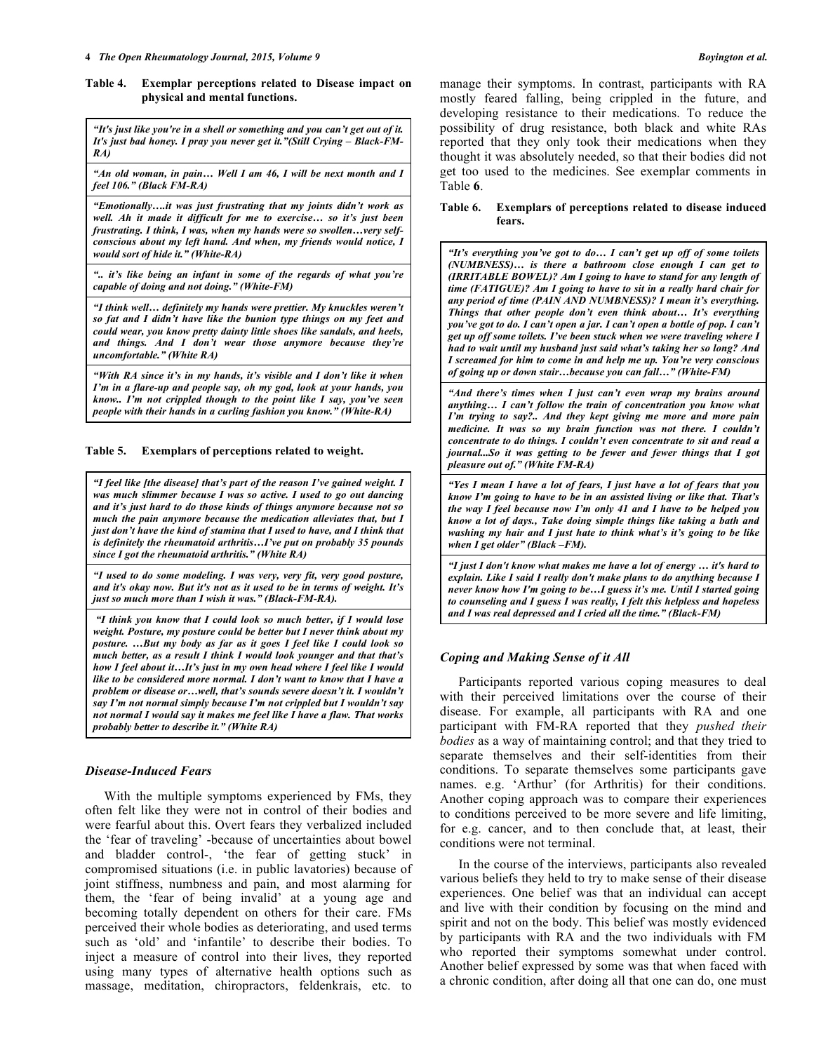## **Table 4. Exemplar perceptions related to Disease impact on physical and mental functions.**

*"It's just like you're in a shell or something and you can't get out of it. It's just bad honey. I pray you never get it."(Still Crying – Black-FM-RA)*

*"An old woman, in pain… Well I am 46, I will be next month and I feel 106." (Black FM-RA)*

*"Emotionally….it was just frustrating that my joints didn't work as well. Ah it made it difficult for me to exercise… so it's just been frustrating. I think, I was, when my hands were so swollen…very selfconscious about my left hand. And when, my friends would notice, I would sort of hide it." (White-RA)*

*".. it's like being an infant in some of the regards of what you're capable of doing and not doing." (White-FM)*

*"I think well… definitely my hands were prettier. My knuckles weren't so fat and I didn't have like the bunion type things on my feet and could wear, you know pretty dainty little shoes like sandals, and heels, and things. And I don't wear those anymore because they're uncomfortable." (White RA)*

*"With RA since it's in my hands, it's visible and I don't like it when I'm in a flare-up and people say, oh my god, look at your hands, you know.. I'm not crippled though to the point like I say, you've seen people with their hands in a curling fashion you know." (White-RA)*

**Table 5. Exemplars of perceptions related to weight.**

*"I feel like [the disease] that's part of the reason I've gained weight. I was much slimmer because I was so active. I used to go out dancing and it's just hard to do those kinds of things anymore because not so much the pain anymore because the medication alleviates that, but I just don't have the kind of stamina that I used to have, and I think that is definitely the rheumatoid arthritis…I've put on probably 35 pounds since I got the rheumatoid arthritis." (White RA)*

*"I used to do some modeling. I was very, very fit, very good posture, and it's okay now. But it's not as it used to be in terms of weight. It's just so much more than I wish it was." (Black-FM-RA).*

*"I think you know that I could look so much better, if I would lose weight. Posture, my posture could be better but I never think about my posture. …But my body as far as it goes I feel like I could look so much better, as a result I think I would look younger and that that's how I feel about it…It's just in my own head where I feel like I would like to be considered more normal. I don't want to know that I have a problem or disease or…well, that's sounds severe doesn't it. I wouldn't say I'm not normal simply because I'm not crippled but I wouldn't say not normal I would say it makes me feel like I have a flaw. That works probably better to describe it." (White RA)*

# *Disease-Induced Fears*

With the multiple symptoms experienced by FMs, they often felt like they were not in control of their bodies and were fearful about this. Overt fears they verbalized included the 'fear of traveling' -because of uncertainties about bowel and bladder control-, 'the fear of getting stuck' in compromised situations (i.e. in public lavatories) because of joint stiffness, numbness and pain, and most alarming for them, the 'fear of being invalid' at a young age and becoming totally dependent on others for their care. FMs perceived their whole bodies as deteriorating, and used terms such as 'old' and 'infantile' to describe their bodies. To inject a measure of control into their lives, they reported using many types of alternative health options such as massage, meditation, chiropractors, feldenkrais, etc. to

manage their symptoms. In contrast, participants with RA mostly feared falling, being crippled in the future, and developing resistance to their medications. To reduce the possibility of drug resistance, both black and white RAs reported that they only took their medications when they thought it was absolutely needed, so that their bodies did not get too used to the medicines. See exemplar comments in Table **6**.

## **Table 6. Exemplars of perceptions related to disease induced fears.**

*"It's everything you've got to do… I can't get up off of some toilets (NUMBNESS)… is there a bathroom close enough I can get to (IRRITABLE BOWEL)? Am I going to have to stand for any length of time (FATIGUE)? Am I going to have to sit in a really hard chair for any period of time (PAIN AND NUMBNESS)? I mean it's everything. Things that other people don't even think about… It's everything you've got to do. I can't open a jar. I can't open a bottle of pop. I can't get up off some toilets. I've been stuck when we were traveling where I had to wait until my husband just said what's taking her so long? And I screamed for him to come in and help me up. You're very conscious of going up or down stair…because you can fall…" (White-FM)* 

*"And there's times when I just can't even wrap my brains around anything… I can't follow the train of concentration you know what I'm trying to say?.. And they kept giving me more and more pain medicine. It was so my brain function was not there. I couldn't concentrate to do things. I couldn't even concentrate to sit and read a journal...So it was getting to be fewer and fewer things that I got pleasure out of." (White FM-RA)*

*"Yes I mean I have a lot of fears, I just have a lot of fears that you know I'm going to have to be in an assisted living or like that. That's the way I feel because now I'm only 41 and I have to be helped you know a lot of days., Take doing simple things like taking a bath and washing my hair and I just hate to think what's it's going to be like when I get older" (Black –FM).* 

*"I just I don't know what makes me have a lot of energy … it's hard to explain. Like I said I really don't make plans to do anything because I never know how I'm going to be…I guess it's me. Until I started going to counseling and I guess I was really, I felt this helpless and hopeless and I was real depressed and I cried all the time." (Black-FM)*

# *Coping and Making Sense of it All*

Participants reported various coping measures to deal with their perceived limitations over the course of their disease. For example, all participants with RA and one participant with FM-RA reported that they *pushed their bodies* as a way of maintaining control; and that they tried to separate themselves and their self-identities from their conditions. To separate themselves some participants gave names. e.g. 'Arthur' (for Arthritis) for their conditions. Another coping approach was to compare their experiences to conditions perceived to be more severe and life limiting, for e.g. cancer, and to then conclude that, at least, their conditions were not terminal.

In the course of the interviews, participants also revealed various beliefs they held to try to make sense of their disease experiences. One belief was that an individual can accept and live with their condition by focusing on the mind and spirit and not on the body. This belief was mostly evidenced by participants with RA and the two individuals with FM who reported their symptoms somewhat under control. Another belief expressed by some was that when faced with a chronic condition, after doing all that one can do, one must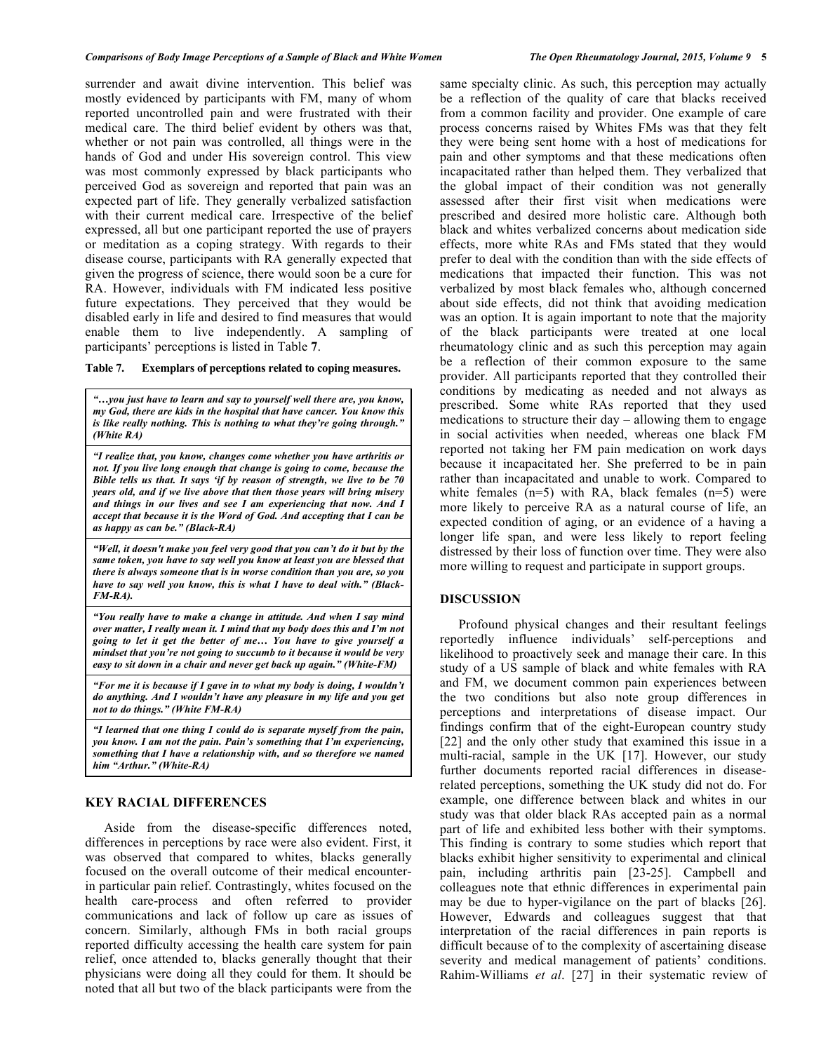surrender and await divine intervention. This belief was mostly evidenced by participants with FM, many of whom reported uncontrolled pain and were frustrated with their medical care. The third belief evident by others was that, whether or not pain was controlled, all things were in the hands of God and under His sovereign control. This view was most commonly expressed by black participants who perceived God as sovereign and reported that pain was an expected part of life. They generally verbalized satisfaction with their current medical care. Irrespective of the belief expressed, all but one participant reported the use of prayers or meditation as a coping strategy. With regards to their disease course, participants with RA generally expected that given the progress of science, there would soon be a cure for RA. However, individuals with FM indicated less positive future expectations. They perceived that they would be disabled early in life and desired to find measures that would enable them to live independently. A sampling of participants' perceptions is listed in Table **7**.

#### **Table 7. Exemplars of perceptions related to coping measures.**

*"…you just have to learn and say to yourself well there are, you know, my God, there are kids in the hospital that have cancer. You know this is like really nothing. This is nothing to what they're going through." (White RA)*

*"I realize that, you know, changes come whether you have arthritis or not. If you live long enough that change is going to come, because the Bible tells us that. It says 'if by reason of strength, we live to be 70 years old, and if we live above that then those years will bring misery and things in our lives and see I am experiencing that now. And I accept that because it is the Word of God. And accepting that I can be as happy as can be." (Black-RA)*

*"Well, it doesn't make you feel very good that you can't do it but by the same token, you have to say well you know at least you are blessed that there is always someone that is in worse condition than you are, so you have to say well you know, this is what I have to deal with." (Black-FM-RA).*

*"You really have to make a change in attitude. And when I say mind over matter, I really mean it. I mind that my body does this and I'm not going to let it get the better of me… You have to give yourself a mindset that you're not going to succumb to it because it would be very easy to sit down in a chair and never get back up again." (White-FM)*

*"For me it is because if I gave in to what my body is doing, I wouldn't do anything. And I wouldn't have any pleasure in my life and you get not to do things." (White FM-RA)*

*"I learned that one thing I could do is separate myself from the pain, you know. I am not the pain. Pain's something that I'm experiencing, something that I have a relationship with, and so therefore we named him "Arthur." (White-RA)*

## **KEY RACIAL DIFFERENCES**

Aside from the disease-specific differences noted, differences in perceptions by race were also evident. First, it was observed that compared to whites, blacks generally focused on the overall outcome of their medical encounterin particular pain relief. Contrastingly, whites focused on the health care-process and often referred to provider communications and lack of follow up care as issues of concern. Similarly, although FMs in both racial groups reported difficulty accessing the health care system for pain relief, once attended to, blacks generally thought that their physicians were doing all they could for them. It should be noted that all but two of the black participants were from the

same specialty clinic. As such, this perception may actually be a reflection of the quality of care that blacks received from a common facility and provider. One example of care process concerns raised by Whites FMs was that they felt they were being sent home with a host of medications for pain and other symptoms and that these medications often incapacitated rather than helped them. They verbalized that the global impact of their condition was not generally assessed after their first visit when medications were prescribed and desired more holistic care. Although both black and whites verbalized concerns about medication side effects, more white RAs and FMs stated that they would prefer to deal with the condition than with the side effects of medications that impacted their function. This was not verbalized by most black females who, although concerned about side effects, did not think that avoiding medication was an option. It is again important to note that the majority of the black participants were treated at one local rheumatology clinic and as such this perception may again be a reflection of their common exposure to the same provider. All participants reported that they controlled their conditions by medicating as needed and not always as prescribed. Some white RAs reported that they used medications to structure their day – allowing them to engage in social activities when needed, whereas one black FM reported not taking her FM pain medication on work days because it incapacitated her. She preferred to be in pain rather than incapacitated and unable to work. Compared to white females  $(n=5)$  with RA, black females  $(n=5)$  were more likely to perceive RA as a natural course of life, an expected condition of aging, or an evidence of a having a longer life span, and were less likely to report feeling distressed by their loss of function over time. They were also more willing to request and participate in support groups.

## **DISCUSSION**

Profound physical changes and their resultant feelings reportedly influence individuals' self-perceptions and likelihood to proactively seek and manage their care. In this study of a US sample of black and white females with RA and FM, we document common pain experiences between the two conditions but also note group differences in perceptions and interpretations of disease impact. Our findings confirm that of the eight-European country study [22] and the only other study that examined this issue in a multi-racial, sample in the UK [17]. However, our study further documents reported racial differences in diseaserelated perceptions, something the UK study did not do. For example, one difference between black and whites in our study was that older black RAs accepted pain as a normal part of life and exhibited less bother with their symptoms. This finding is contrary to some studies which report that blacks exhibit higher sensitivity to experimental and clinical pain, including arthritis pain [23-25]. Campbell and colleagues note that ethnic differences in experimental pain may be due to hyper-vigilance on the part of blacks [26]. However, Edwards and colleagues suggest that that interpretation of the racial differences in pain reports is difficult because of to the complexity of ascertaining disease severity and medical management of patients' conditions. Rahim-Williams *et al*. [27] in their systematic review of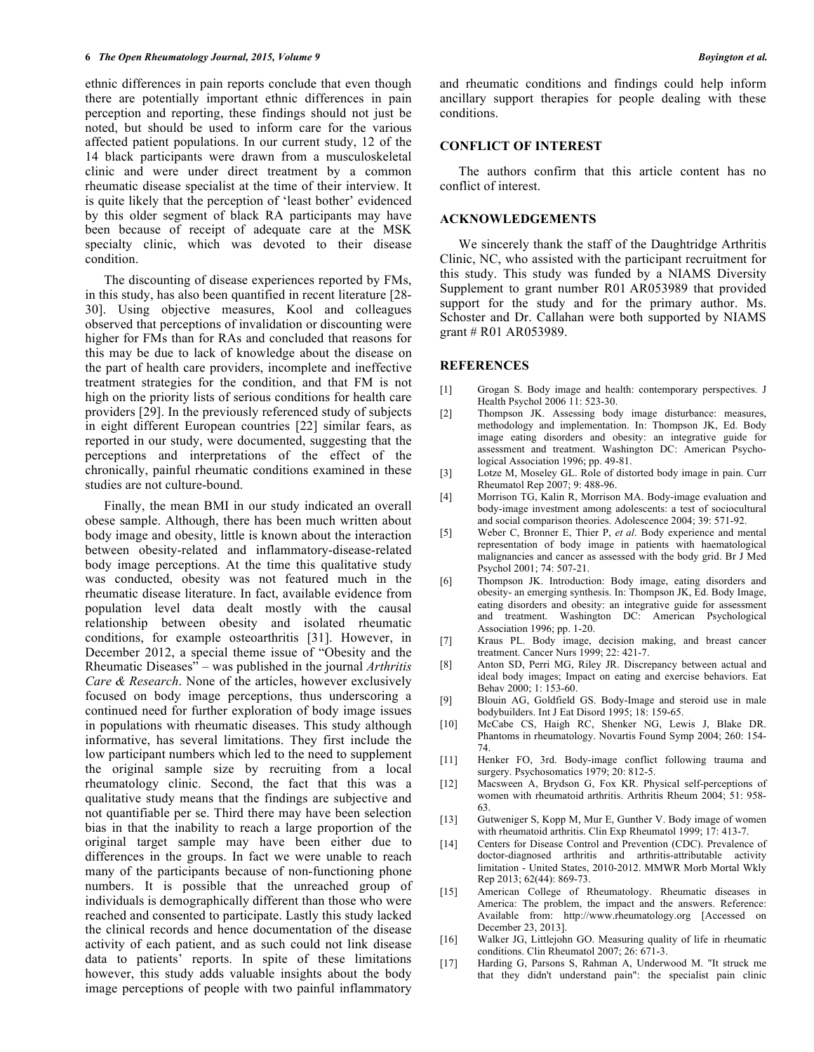ethnic differences in pain reports conclude that even though there are potentially important ethnic differences in pain perception and reporting, these findings should not just be noted, but should be used to inform care for the various affected patient populations. In our current study, 12 of the 14 black participants were drawn from a musculoskeletal clinic and were under direct treatment by a common rheumatic disease specialist at the time of their interview. It is quite likely that the perception of 'least bother' evidenced by this older segment of black RA participants may have been because of receipt of adequate care at the MSK specialty clinic, which was devoted to their disease condition.

The discounting of disease experiences reported by FMs, in this study, has also been quantified in recent literature [28- 30]. Using objective measures, Kool and colleagues observed that perceptions of invalidation or discounting were higher for FMs than for RAs and concluded that reasons for this may be due to lack of knowledge about the disease on the part of health care providers, incomplete and ineffective treatment strategies for the condition, and that FM is not high on the priority lists of serious conditions for health care providers [29]. In the previously referenced study of subjects in eight different European countries [22] similar fears, as reported in our study, were documented, suggesting that the perceptions and interpretations of the effect of the chronically, painful rheumatic conditions examined in these studies are not culture-bound.

Finally, the mean BMI in our study indicated an overall obese sample. Although, there has been much written about body image and obesity, little is known about the interaction between obesity-related and inflammatory-disease-related body image perceptions. At the time this qualitative study was conducted, obesity was not featured much in the rheumatic disease literature. In fact, available evidence from population level data dealt mostly with the causal relationship between obesity and isolated rheumatic conditions, for example osteoarthritis [31]. However, in December 2012, a special theme issue of "Obesity and the Rheumatic Diseases" – was published in the journal *Arthritis Care & Research*. None of the articles, however exclusively focused on body image perceptions, thus underscoring a continued need for further exploration of body image issues in populations with rheumatic diseases. This study although informative, has several limitations. They first include the low participant numbers which led to the need to supplement the original sample size by recruiting from a local rheumatology clinic. Second, the fact that this was a qualitative study means that the findings are subjective and not quantifiable per se. Third there may have been selection bias in that the inability to reach a large proportion of the original target sample may have been either due to differences in the groups. In fact we were unable to reach many of the participants because of non-functioning phone numbers. It is possible that the unreached group of individuals is demographically different than those who were reached and consented to participate. Lastly this study lacked the clinical records and hence documentation of the disease activity of each patient, and as such could not link disease data to patients' reports. In spite of these limitations however, this study adds valuable insights about the body image perceptions of people with two painful inflammatory

and rheumatic conditions and findings could help inform ancillary support therapies for people dealing with these conditions.

# **CONFLICT OF INTEREST**

The authors confirm that this article content has no conflict of interest.

# **ACKNOWLEDGEMENTS**

We sincerely thank the staff of the Daughtridge Arthritis Clinic, NC, who assisted with the participant recruitment for this study. This study was funded by a NIAMS Diversity Supplement to grant number R01 AR053989 that provided support for the study and for the primary author. Ms. Schoster and Dr. Callahan were both supported by NIAMS grant # R01 AR053989.

## **REFERENCES**

- [1] Grogan S. Body image and health: contemporary perspectives. J Health Psychol 2006 11: 523-30.
- [2] Thompson JK. Assessing body image disturbance: measures, methodology and implementation. In: Thompson JK, Ed. Body image eating disorders and obesity: an integrative guide for assessment and treatment. Washington DC: American Psychological Association 1996; pp. 49-81.
- [3] Lotze M, Moseley GL. Role of distorted body image in pain. Curr Rheumatol Rep 2007; 9: 488-96.
- [4] Morrison TG, Kalin R, Morrison MA. Body-image evaluation and body-image investment among adolescents: a test of sociocultural and social comparison theories. Adolescence 2004; 39: 571-92.
- [5] Weber C, Bronner E, Thier P, *et al*. Body experience and mental representation of body image in patients with haematological malignancies and cancer as assessed with the body grid. Br J Med Psychol 2001; 74: 507-21.
- [6] Thompson JK. Introduction: Body image, eating disorders and obesity- an emerging synthesis. In: Thompson JK, Ed. Body Image, eating disorders and obesity: an integrative guide for assessment and treatment. Washington DC: American Psychological Association 1996; pp. 1-20.
- [7] Kraus PL. Body image, decision making, and breast cancer treatment. Cancer Nurs 1999; 22: 421-7.
- [8] Anton SD, Perri MG, Riley JR. Discrepancy between actual and ideal body images; Impact on eating and exercise behaviors. Eat Behav 2000; 1: 153-60.
- [9] Blouin AG, Goldfield GS. Body-Image and steroid use in male bodybuilders. Int J Eat Disord 1995; 18: 159-65.
- [10] McCabe CS, Haigh RC, Shenker NG, Lewis J, Blake DR. Phantoms in rheumatology. Novartis Found Symp 2004; 260: 154- 74.
- [11] Henker FO, 3rd. Body-image conflict following trauma and surgery. Psychosomatics 1979; 20: 812-5.
- [12] Macsween A, Brydson G, Fox KR. Physical self-perceptions of women with rheumatoid arthritis. Arthritis Rheum 2004; 51: 958- 63.
- [13] Gutweniger S, Kopp M, Mur E, Gunther V. Body image of women with rheumatoid arthritis. Clin Exp Rheumatol 1999; 17: 413-7.
- [14] Centers for Disease Control and Prevention (CDC). Prevalence of doctor-diagnosed arthritis and arthritis-attributable activity limitation - United States, 2010-2012. MMWR Morb Mortal Wkly Rep 2013; 62(44): 869-73.
- [15] American College of Rheumatology. Rheumatic diseases in America: The problem, the impact and the answers. Reference: Available from: http://www.rheumatology.org [Accessed on December 23, 2013].
- [16] Walker JG, Littlejohn GO. Measuring quality of life in rheumatic conditions. Clin Rheumatol 2007; 26: 671-3.
- [17] Harding G, Parsons S, Rahman A, Underwood M. "It struck me that they didn't understand pain": the specialist pain clinic